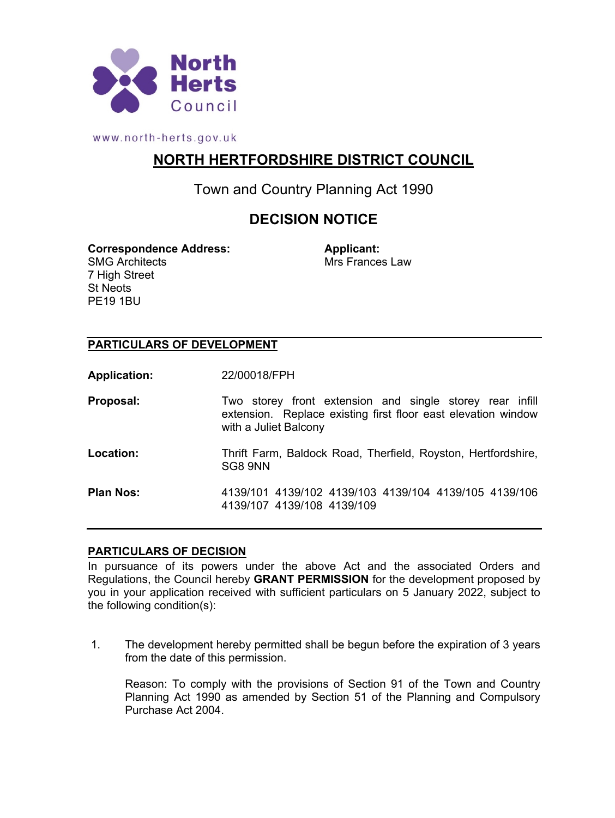

www.north-herts.gov.uk

# **NORTH HERTFORDSHIRE DISTRICT COUNCIL**

Town and Country Planning Act 1990

# **DECISION NOTICE**

**Correspondence Address: Applicant:** SMG Architects 7 High Street St Neots

PE19 1BU

Mrs Frances Law

### **PARTICULARS OF DEVELOPMENT**

**Application:** 22/00018/FPH

| Proposal:        | Two storey front extension and single storey rear infill<br>extension. Replace existing first floor east elevation window<br>with a Juliet Balcony |
|------------------|----------------------------------------------------------------------------------------------------------------------------------------------------|
| Location:        | Thrift Farm, Baldock Road, Therfield, Royston, Hertfordshire,<br>SG8 9NN                                                                           |
| <b>Plan Nos:</b> | 4139/101 4139/102 4139/103 4139/104 4139/105 4139/106<br>4139/107 4139/108 4139/109                                                                |

#### **PARTICULARS OF DECISION**

In pursuance of its powers under the above Act and the associated Orders and Regulations, the Council hereby **GRANT PERMISSION** for the development proposed by you in your application received with sufficient particulars on 5 January 2022, subject to the following condition(s):

1. The development hereby permitted shall be begun before the expiration of 3 years from the date of this permission.

Reason: To comply with the provisions of Section 91 of the Town and Country Planning Act 1990 as amended by Section 51 of the Planning and Compulsory Purchase Act 2004.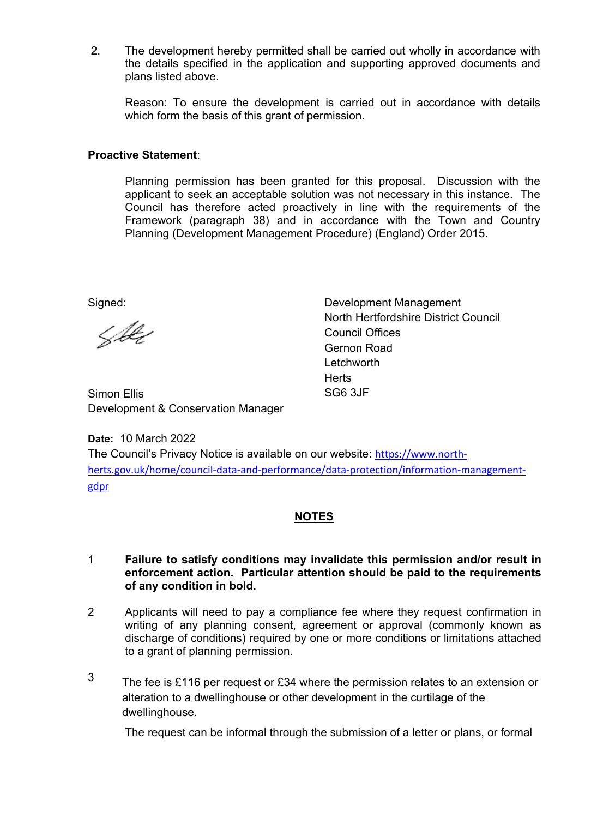2. The development hereby permitted shall be carried out wholly in accordance with the details specified in the application and supporting approved documents and plans listed above.

Reason: To ensure the development is carried out in accordance with details which form the basis of this grant of permission.

### **Proactive Statement**:

Planning permission has been granted for this proposal. Discussion with the applicant to seek an acceptable solution was not necessary in this instance. The Council has therefore acted proactively in line with the requirements of the Framework (paragraph 38) and in accordance with the Town and Country Planning (Development Management Procedure) (England) Order 2015.

Signed:

Libe

Development Management North Hertfordshire District Council Council Offices Gernon Road **Letchworth Herts** SG6 3JF

Simon Ellis Development & Conservation Manager

**Date:** 10 March 2022 The Council's Privacy Notice is available on our website: [https://www.north](https://www.north-herts.gov.uk/home/council-data-and-performance/data-protection/information-management-gdpr)[herts.gov.uk/home/council-data-and-performance/data-protection/information-management](https://www.north-herts.gov.uk/home/council-data-and-performance/data-protection/information-management-gdpr)[gdpr](https://www.north-herts.gov.uk/home/council-data-and-performance/data-protection/information-management-gdpr)

## **NOTES**

#### 1 **Failure to satisfy conditions may invalidate this permission and/or result in enforcement action. Particular attention should be paid to the requirements of any condition in bold.**

- 2 Applicants will need to pay a compliance fee where they request confirmation in writing of any planning consent, agreement or approval (commonly known as discharge of conditions) required by one or more conditions or limitations attached to a grant of planning permission.
- 3 The fee is £116 per request or £34 where the permission relates to an extension or alteration to a dwellinghouse or other development in the curtilage of the dwellinghouse.

The request can be informal through the submission of a letter or plans, or formal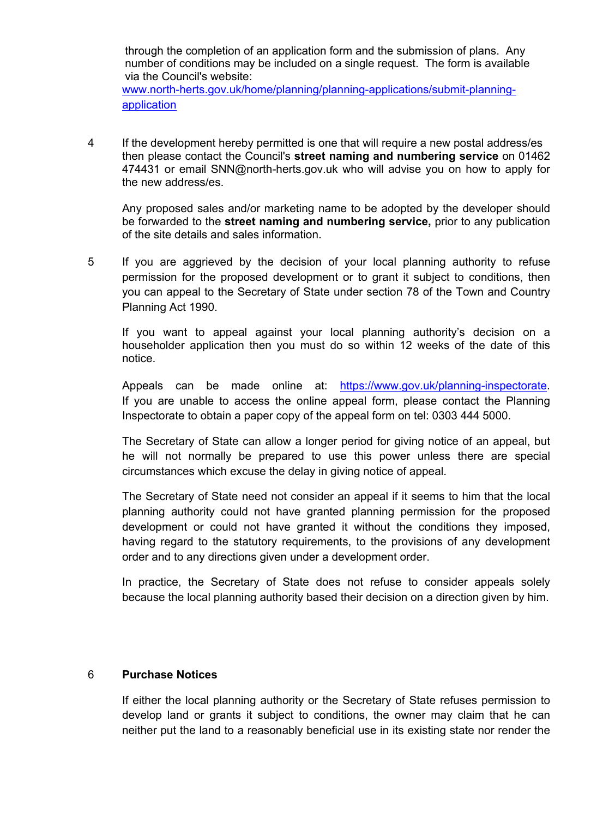through the completion of an application form and the submission of plans. Any number of conditions may be included on a single request. The form is available via the Council's website: www.north-herts.gov.uk/home/planning/planning-applications/submit-planningapplication

4 If the development hereby permitted is one that will require a new postal address/es then please contact the Council's **street naming and numbering service** on 01462 474431 or email SNN@north-herts.gov.uk who will advise you on how to apply for the new address/es.

Any proposed sales and/or marketing name to be adopted by the developer should be forwarded to the **street naming and numbering service,** prior to any publication of the site details and sales information.

5 If you are aggrieved by the decision of your local planning authority to refuse permission for the proposed development or to grant it subject to conditions, then you can appeal to the Secretary of State under section 78 of the Town and Country Planning Act 1990.

If you want to appeal against your local planning authority's decision on a householder application then you must do so within 12 weeks of the date of this notice.

Appeals can be made online at: https://www.gov.uk/planning-inspectorate. If you are unable to access the online appeal form, please contact the Planning Inspectorate to obtain a paper copy of the appeal form on tel: 0303 444 5000.

The Secretary of State can allow a longer period for giving notice of an appeal, but he will not normally be prepared to use this power unless there are special circumstances which excuse the delay in giving notice of appeal.

The Secretary of State need not consider an appeal if it seems to him that the local planning authority could not have granted planning permission for the proposed development or could not have granted it without the conditions they imposed, having regard to the statutory requirements, to the provisions of any development order and to any directions given under a development order.

In practice, the Secretary of State does not refuse to consider appeals solely because the local planning authority based their decision on a direction given by him.

#### 6 **Purchase Notices**

If either the local planning authority or the Secretary of State refuses permission to develop land or grants it subject to conditions, the owner may claim that he can neither put the land to a reasonably beneficial use in its existing state nor render the